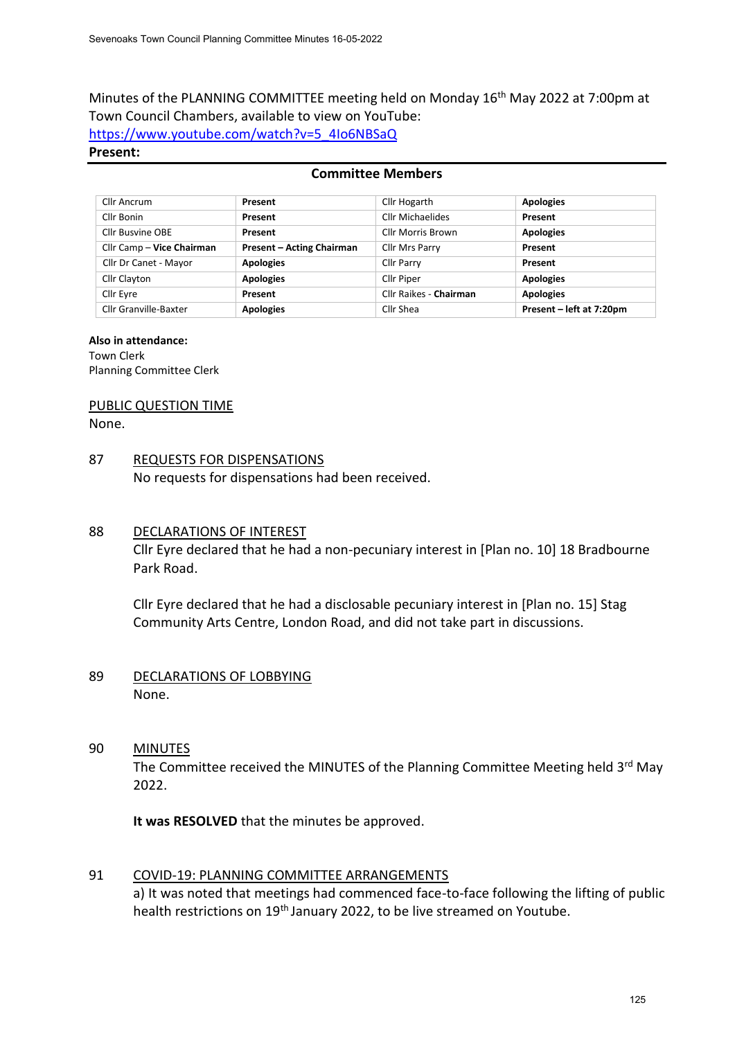Minutes of the PLANNING COMMITTEE meeting held on Monday 16th May 2022 at 7:00pm at Town Council Chambers, available to view on YouTube: [https://www.youtube.com/watch?v=5\\_4Io6NBSaQ](https://www.youtube.com/watch?v=5_4Io6NBSaQ) **Present:**

#### **Committee Members**

| Cllr Ancrum               | Present                   | Cllr Hogarth           | <b>Apologies</b>         |
|---------------------------|---------------------------|------------------------|--------------------------|
| Cllr Bonin                | Present                   | Cllr Michaelides       | Present                  |
| Cllr Busvine OBE          | Present                   | Cllr Morris Brown      | <b>Apologies</b>         |
| Cllr Camp - Vice Chairman | Present - Acting Chairman | Cllr Mrs Parry         | Present                  |
| Cllr Dr Canet - Mayor     | <b>Apologies</b>          | <b>Cllr Parry</b>      | Present                  |
| Cllr Clayton              | <b>Apologies</b>          | Cllr Piper             | <b>Apologies</b>         |
| Cllr Eyre                 | Present                   | Cllr Raikes - Chairman | <b>Apologies</b>         |
| Cllr Granville-Baxter     | <b>Apologies</b>          | Cllr Shea              | Present - left at 7:20pm |

#### **Also in attendance:**

Town Clerk Planning Committee Clerk

#### PUBLIC QUESTION TIME

None.

87 REQUESTS FOR DISPENSATIONS No requests for dispensations had been received.

### 88 DECLARATIONS OF INTEREST

Cllr Eyre declared that he had a non-pecuniary interest in [Plan no. 10] 18 Bradbourne Park Road.

Cllr Eyre declared that he had a disclosable pecuniary interest in [Plan no. 15] Stag Community Arts Centre, London Road, and did not take part in discussions.

### 89 DECLARATIONS OF LOBBYING None.

90 MINUTES

The Committee received the MINUTES of the Planning Committee Meeting held 3<sup>rd</sup> May 2022.

**It was RESOLVED** that the minutes be approved.

### 91 COVID-19: PLANNING COMMITTEE ARRANGEMENTS

a) It was noted that meetings had commenced face-to-face following the lifting of public health restrictions on 19<sup>th</sup> January 2022, to be live streamed on Youtube.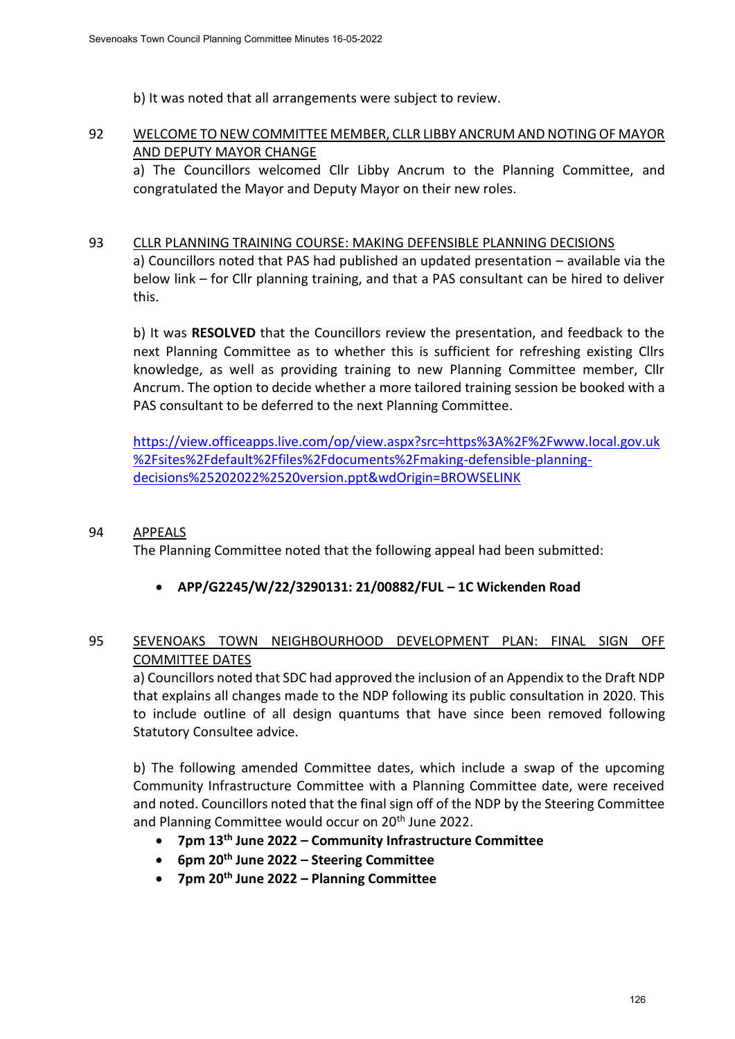b) It was noted that all arrangements were subject to review.

## 92 WELCOME TO NEW COMMITTEE MEMBER, CLLR LIBBY ANCRUM AND NOTING OF MAYOR AND DEPUTY MAYOR CHANGE

a) The Councillors welcomed Cllr Libby Ancrum to the Planning Committee, and congratulated the Mayor and Deputy Mayor on their new roles.

### 93 CLLR PLANNING TRAINING COURSE: MAKING DEFENSIBLE PLANNING DECISIONS

a) Councillors noted that PAS had published an updated presentation – available via the below link – for Cllr planning training, and that a PAS consultant can be hired to deliver this.

b) It was **RESOLVED** that the Councillors review the presentation, and feedback to the next Planning Committee as to whether this is sufficient for refreshing existing Cllrs knowledge, as well as providing training to new Planning Committee member, Cllr Ancrum. The option to decide whether a more tailored training session be booked with a PAS consultant to be deferred to the next Planning Committee.

[https://view.officeapps.live.com/op/view.aspx?src=https%3A%2F%2Fwww.local.gov.uk](https://view.officeapps.live.com/op/view.aspx?src=https%3A%2F%2Fwww.local.gov.uk%2Fsites%2Fdefault%2Ffiles%2Fdocuments%2Fmaking-defensible-planning-decisions%25202022%2520version.ppt&wdOrigin=BROWSELINK) [%2Fsites%2Fdefault%2Ffiles%2Fdocuments%2Fmaking-defensible-planning](https://view.officeapps.live.com/op/view.aspx?src=https%3A%2F%2Fwww.local.gov.uk%2Fsites%2Fdefault%2Ffiles%2Fdocuments%2Fmaking-defensible-planning-decisions%25202022%2520version.ppt&wdOrigin=BROWSELINK)[decisions%25202022%2520version.ppt&wdOrigin=BROWSELINK](https://view.officeapps.live.com/op/view.aspx?src=https%3A%2F%2Fwww.local.gov.uk%2Fsites%2Fdefault%2Ffiles%2Fdocuments%2Fmaking-defensible-planning-decisions%25202022%2520version.ppt&wdOrigin=BROWSELINK)

## 94 APPEALS

The Planning Committee noted that the following appeal had been submitted:

## • **APP/G2245/W/22/3290131: 21/00882/FUL – 1C Wickenden Road**

## 95 SEVENOAKS TOWN NEIGHBOURHOOD DEVELOPMENT PLAN: FINAL SIGN OFF COMMITTEE DATES

a) Councillors noted that SDC had approved the inclusion of an Appendix to the Draft NDP that explains all changes made to the NDP following its public consultation in 2020. This to include outline of all design quantums that have since been removed following Statutory Consultee advice.

b) The following amended Committee dates, which include a swap of the upcoming Community Infrastructure Committee with a Planning Committee date, were received and noted. Councillors noted that the final sign off of the NDP by the Steering Committee and Planning Committee would occur on 20<sup>th</sup> June 2022.

- **7pm 13th June 2022 – Community Infrastructure Committee**
- **6pm 20th June 2022 – Steering Committee**
- **7pm 20th June 2022 – Planning Committee**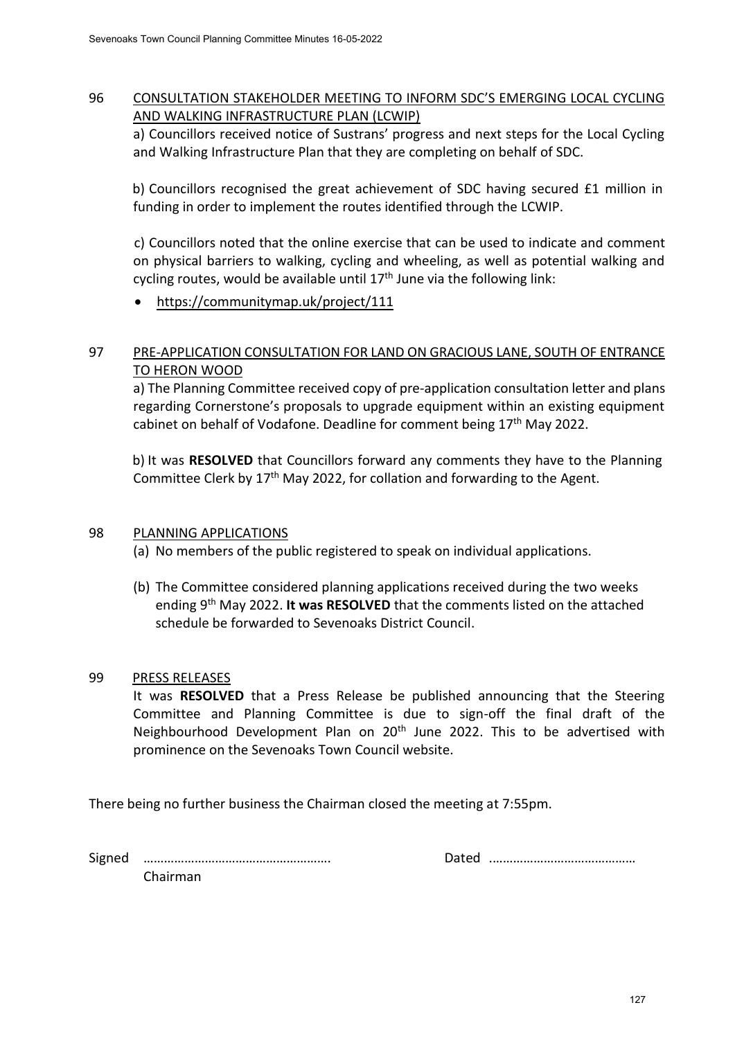96 CONSULTATION STAKEHOLDER MEETING TO INFORM SDC'S EMERGING LOCAL CYCLING AND WALKING INFRASTRUCTURE PLAN (LCWIP)

a) Councillors received notice of Sustrans' progress and next steps for the Local Cycling and Walking Infrastructure Plan that they are completing on behalf of SDC.

b) Councillors recognised the great achievement of SDC having secured £1 million in funding in order to implement the routes identified through the LCWIP.

c) Councillors noted that the online exercise that can be used to indicate and comment on physical barriers to walking, cycling and wheeling, as well as potential walking and cycling routes, would be available until  $17<sup>th</sup>$  June via the following link:

• https://communitymap.uk/project/111

## 97 PRE-APPLICATION CONSULTATION FOR LAND ON GRACIOUS LANE, SOUTH OF ENTRANCE TO HERON WOOD

a) The Planning Committee received copy of pre-application consultation letter and plans regarding Cornerstone's proposals to upgrade equipment within an existing equipment cabinet on behalf of Vodafone. Deadline for comment being 17<sup>th</sup> May 2022.

b) It was **RESOLVED** that Councillors forward any comments they have to the Planning Committee Clerk by 17<sup>th</sup> May 2022, for collation and forwarding to the Agent.

## 98 PLANNING APPLICATIONS

(a) No members of the public registered to speak on individual applications.

(b) The Committee considered planning applications received during the two weeks ending 9 th May 2022. **It was RESOLVED** that the comments listed on the attached schedule be forwarded to Sevenoaks District Council.

### 99 PRESS RELEASES

It was **RESOLVED** that a Press Release be published announcing that the Steering Committee and Planning Committee is due to sign-off the final draft of the Neighbourhood Development Plan on 20<sup>th</sup> June 2022. This to be advertised with prominence on the Sevenoaks Town Council website.

There being no further business the Chairman closed the meeting at 7:55pm.

Signed ………………………………………………. Dated .……………………………………

Chairman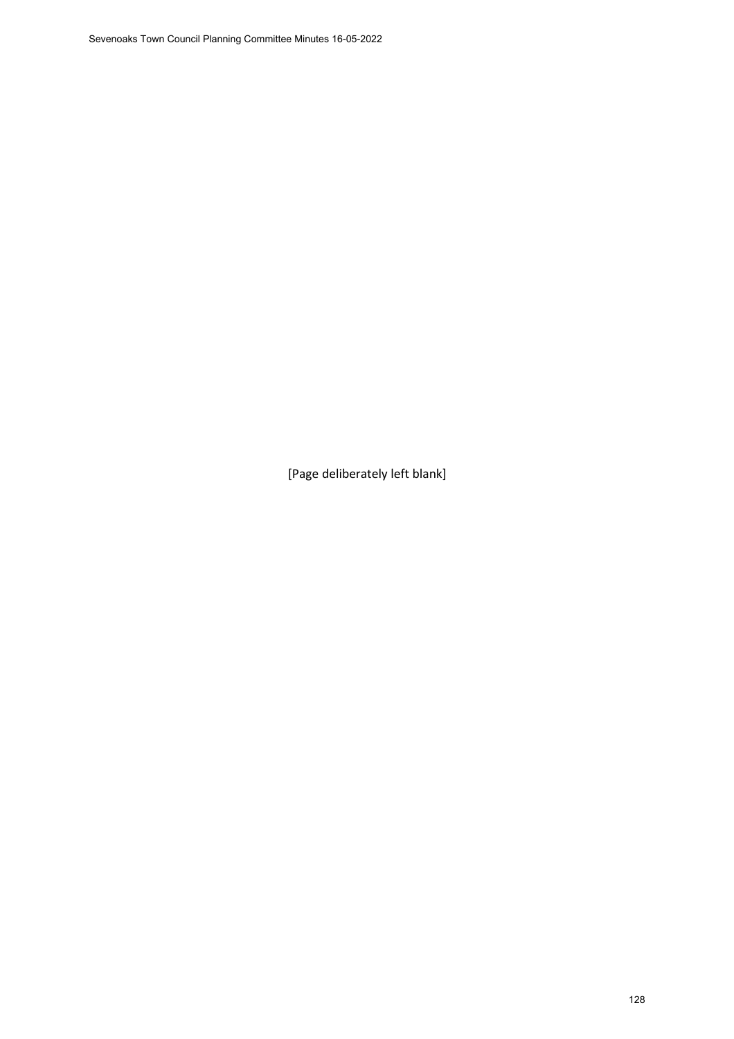[Page deliberately left blank]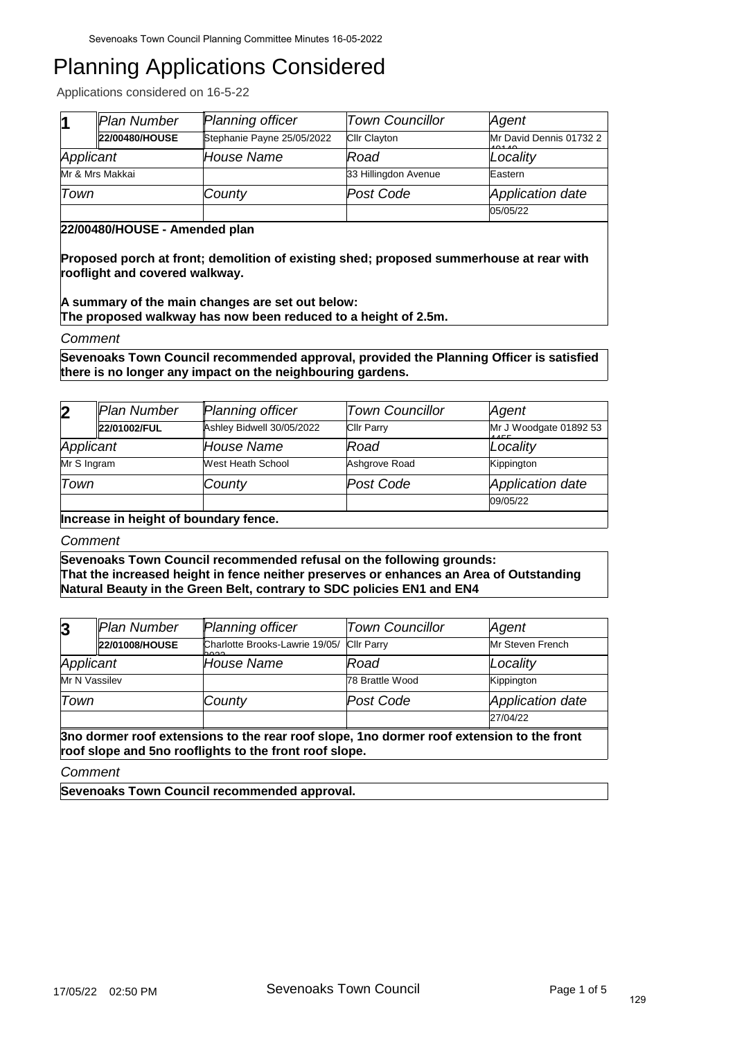Applications considered on 16-5-22

|           | Plan Number     | Planning officer           | <b>Town Councillor</b> | Agent                                      |
|-----------|-----------------|----------------------------|------------------------|--------------------------------------------|
|           | 22/00480/HOUSE  | Stephanie Payne 25/05/2022 | <b>CIIr Clayton</b>    | Mr David Dennis 01732 2<br>$\sqrt{404.40}$ |
| Applicant |                 | House Name                 | Road                   | Locality                                   |
|           | Mr & Mrs Makkai |                            | 33 Hillingdon Avenue   | Eastern                                    |
| Town      |                 | County                     | Post Code              | Application date                           |
|           |                 |                            |                        | 05/05/22                                   |

### **22/00480/HOUSE - Amended plan**

**Proposed porch at front; demolition of existing shed; proposed summerhouse at rear with rooflight and covered walkway.**

**A summary of the main changes are set out below: The proposed walkway has now been reduced to a height of 2.5m.**

### *Comment*

**Sevenoaks Town Council recommended approval, provided the Planning Officer is satisfied there is no longer any impact on the neighbouring gardens.**

| 2                                     | Plan Number  | <b>Planning officer</b>   | <b>Town Councillor</b> | Agent                  |  |
|---------------------------------------|--------------|---------------------------|------------------------|------------------------|--|
|                                       | 22/01002/FUL | Ashley Bidwell 30/05/2022 | <b>Cllr Parry</b>      | Mr J Woodgate 01892 53 |  |
| Applicant                             |              | <b>House Name</b>         | Road                   | Locality               |  |
| Mr S Ingram                           |              | West Heath School         | Ashgrove Road          | Kippington             |  |
| Town                                  |              | County                    | Post Code              | Application date       |  |
|                                       |              |                           |                        | 09/05/22               |  |
| Increase in height of boundary fence. |              |                           |                        |                        |  |

*Comment*

**Sevenoaks Town Council recommended refusal on the following grounds: That the increased height in fence neither preserves or enhances an Area of Outstanding Natural Beauty in the Green Belt, contrary to SDC policies EN1 and EN4**

| $\overline{3}$                                                                                                                                      | Plan Number    | Planning officer                       | <b>Town Councillor</b> | Agent            |  |
|-----------------------------------------------------------------------------------------------------------------------------------------------------|----------------|----------------------------------------|------------------------|------------------|--|
|                                                                                                                                                     | 22/01008/HOUSE | Charlotte Brooks-Lawrie 19/05/<br>noon | <b>Cllr Parry</b>      | Mr Steven French |  |
| Applicant                                                                                                                                           |                | House Name                             | Road                   | Locality         |  |
| Mr N Vassilev                                                                                                                                       |                |                                        | 78 Brattle Wood        | Kippington       |  |
| Town                                                                                                                                                |                | County                                 | Post Code              | Application date |  |
|                                                                                                                                                     |                |                                        |                        | 27/04/22         |  |
| 3no dormer roof extensions to the rear roof slope, 1no dormer roof extension to the front<br>roof slope and 5no rooflights to the front roof slope. |                |                                        |                        |                  |  |

#### *Comment*

**Sevenoaks Town Council recommended approval.**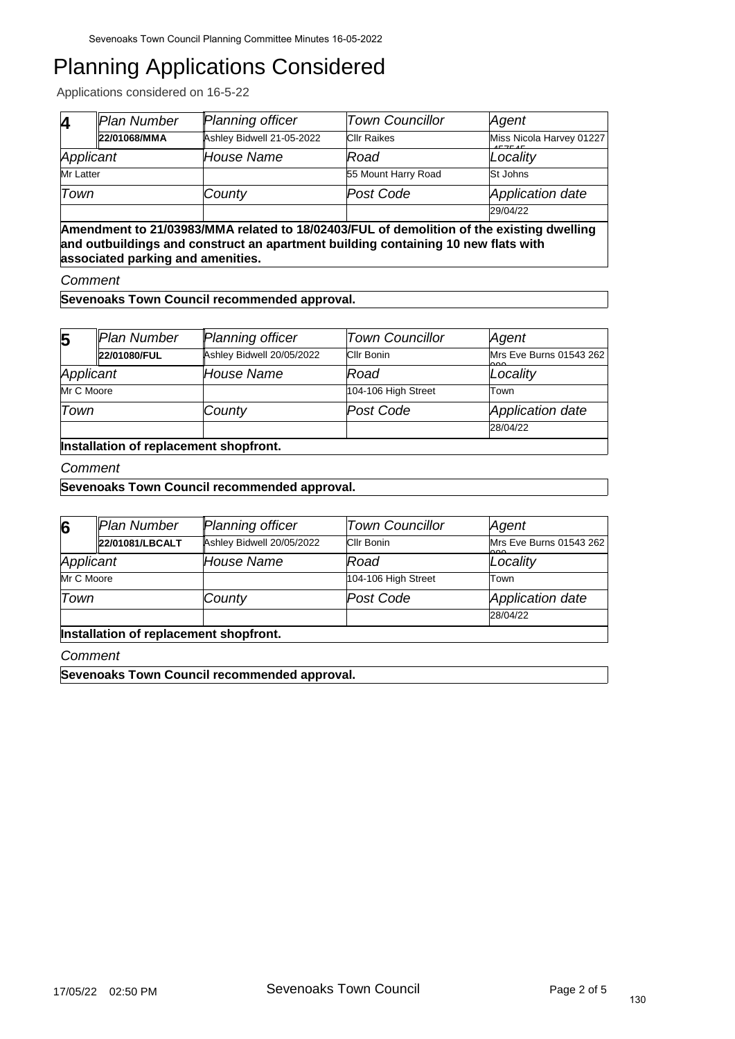Applications considered on 16-5-22

| 4                                                                                                                                                                                                                  | Plan Number  | Planning officer          | <b>Town Councillor</b> | Agent                    |
|--------------------------------------------------------------------------------------------------------------------------------------------------------------------------------------------------------------------|--------------|---------------------------|------------------------|--------------------------|
|                                                                                                                                                                                                                    | 22/01068/MMA | Ashley Bidwell 21-05-2022 | <b>CIIr Raikes</b>     | Miss Nicola Harvey 01227 |
| Applicant                                                                                                                                                                                                          |              | House Name                | Road                   | Locality                 |
| <b>Mr Latter</b>                                                                                                                                                                                                   |              |                           | 55 Mount Harry Road    | St Johns                 |
| Town                                                                                                                                                                                                               |              | County                    | Post Code              | Application date         |
|                                                                                                                                                                                                                    |              |                           |                        | 29/04/22                 |
| Amendment to 21/03983/MMA related to 18/02403/FUL of demolition of the existing dwelling<br>and outbuildings and construct an apartment building containing 10 new flats with<br>associated parking and amenities. |              |                           |                        |                          |

*Comment*

### **Sevenoaks Town Council recommended approval.**

| $\overline{\mathbf{5}}$                | Plan Number  | <b>Planning officer</b>   | <b>Town Councillor</b> | Agent                             |  |
|----------------------------------------|--------------|---------------------------|------------------------|-----------------------------------|--|
|                                        | 22/01080/FUL | Ashley Bidwell 20/05/2022 | Cllr Bonin             | Mrs Eve Burns 01543 262<br>$\sim$ |  |
| Applicant                              |              | House Name                | Road                   | Locality                          |  |
| Mr C Moore                             |              |                           | 104-106 High Street    | Town                              |  |
| Town                                   |              | County                    | Post Code              | Application date                  |  |
|                                        |              |                           |                        | 28/04/22                          |  |
| Installation of replacement shopfront. |              |                           |                        |                                   |  |

### *Comment*

### **Sevenoaks Town Council recommended approval.**

| 6                                      | Plan Number     | <b>Planning officer</b>   | <b>Town Councillor</b> | Agent                                    |  |
|----------------------------------------|-----------------|---------------------------|------------------------|------------------------------------------|--|
|                                        | 22/01081/LBCALT | Ashley Bidwell 20/05/2022 | Cllr Bonin             | Mrs Eve Burns 01543 262<br>$\sim$ $\sim$ |  |
| Applicant                              |                 | House Name                | Road                   | Locality                                 |  |
| Mr C Moore                             |                 |                           | 104-106 High Street    | Town                                     |  |
| Town                                   |                 | County                    | Post Code              | Application date                         |  |
|                                        |                 |                           |                        | 28/04/22                                 |  |
| Installation of replacement shopfront. |                 |                           |                        |                                          |  |

## *Comment*

**Sevenoaks Town Council recommended approval.**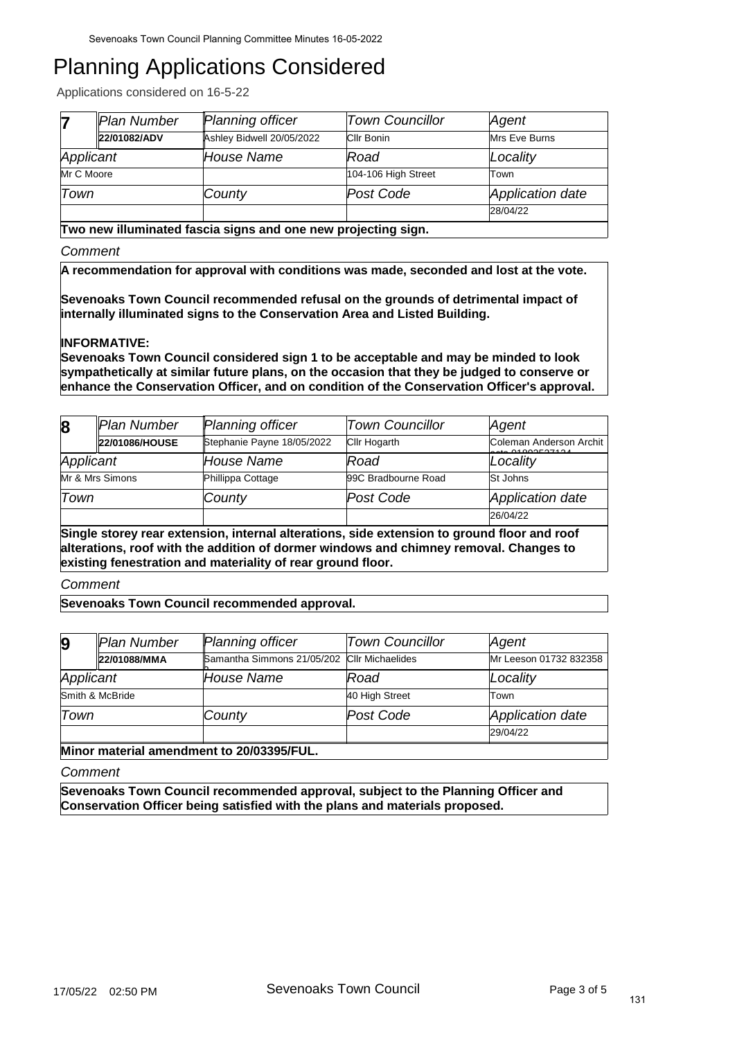Applications considered on 16-5-22

|            | Plan Number  | Planning officer          | <b>Town Councillor</b> | Agent            |
|------------|--------------|---------------------------|------------------------|------------------|
|            | 22/01082/ADV | Ashley Bidwell 20/05/2022 | Cllr Bonin             | Mrs Eve Burns    |
| Applicant  |              | House Name                | Road                   | Locality         |
| Mr C Moore |              |                           | 104-106 High Street    | Town             |
| Town       |              | County                    | Post Code              | Application date |
|            |              |                           |                        | 28/04/22         |

**Two new illuminated fascia signs and one new projecting sign.**

### *Comment*

**A recommendation for approval with conditions was made, seconded and lost at the vote.**

**Sevenoaks Town Council recommended refusal on the grounds of detrimental impact of internally illuminated signs to the Conservation Area and Listed Building.**

### **INFORMATIVE:**

**Sevenoaks Town Council considered sign 1 to be acceptable and may be minded to look sympathetically at similar future plans, on the occasion that they be judged to conserve or enhance the Conservation Officer, and on condition of the Conservation Officer's approval.**

| $\bf{8}$                                                                                                                                                                                                                                            | Plan Number     | <b>Planning officer</b>    | <b>Town Councillor</b> | Agent                   |  |
|-----------------------------------------------------------------------------------------------------------------------------------------------------------------------------------------------------------------------------------------------------|-----------------|----------------------------|------------------------|-------------------------|--|
|                                                                                                                                                                                                                                                     | 22/01086/HOUSE  | Stephanie Payne 18/05/2022 | <b>Cllr Hogarth</b>    | Coleman Anderson Archit |  |
| Applicant                                                                                                                                                                                                                                           |                 | House Name                 | Road                   | Locality                |  |
|                                                                                                                                                                                                                                                     | Mr & Mrs Simons | Phillippa Cottage          | 99C Bradbourne Road    | St Johns                |  |
| Town                                                                                                                                                                                                                                                |                 | County                     | Post Code              | Application date        |  |
|                                                                                                                                                                                                                                                     |                 |                            |                        | 26/04/22                |  |
| Single storey rear extension, internal alterations, side extension to ground floor and roof<br>alterations, roof with the addition of dormer windows and chimney removal. Changes to<br>existing fenestration and materiality of rear ground floor. |                 |                            |                        |                         |  |

*Comment*

**Sevenoaks Town Council recommended approval.**

| $\boldsymbol{9}$                          | Plan Number     | <b>Planning officer</b>                     | <b>Town Councillor</b> | Agent                  |  |
|-------------------------------------------|-----------------|---------------------------------------------|------------------------|------------------------|--|
|                                           | 22/01088/MMA    | Samantha Simmons 21/05/202 Cllr Michaelides |                        | Mr Leeson 01732 832358 |  |
| Applicant                                 |                 | <b>House Name</b>                           | Road                   | Locality               |  |
|                                           | Smith & McBride |                                             | 40 High Street         | Town                   |  |
| Town                                      |                 | County                                      | Post Code              | Application date       |  |
|                                           |                 |                                             |                        | 29/04/22               |  |
| Minor material amendment to 20/03395/FUL. |                 |                                             |                        |                        |  |

*Comment*

**Sevenoaks Town Council recommended approval, subject to the Planning Officer and Conservation Officer being satisfied with the plans and materials proposed.**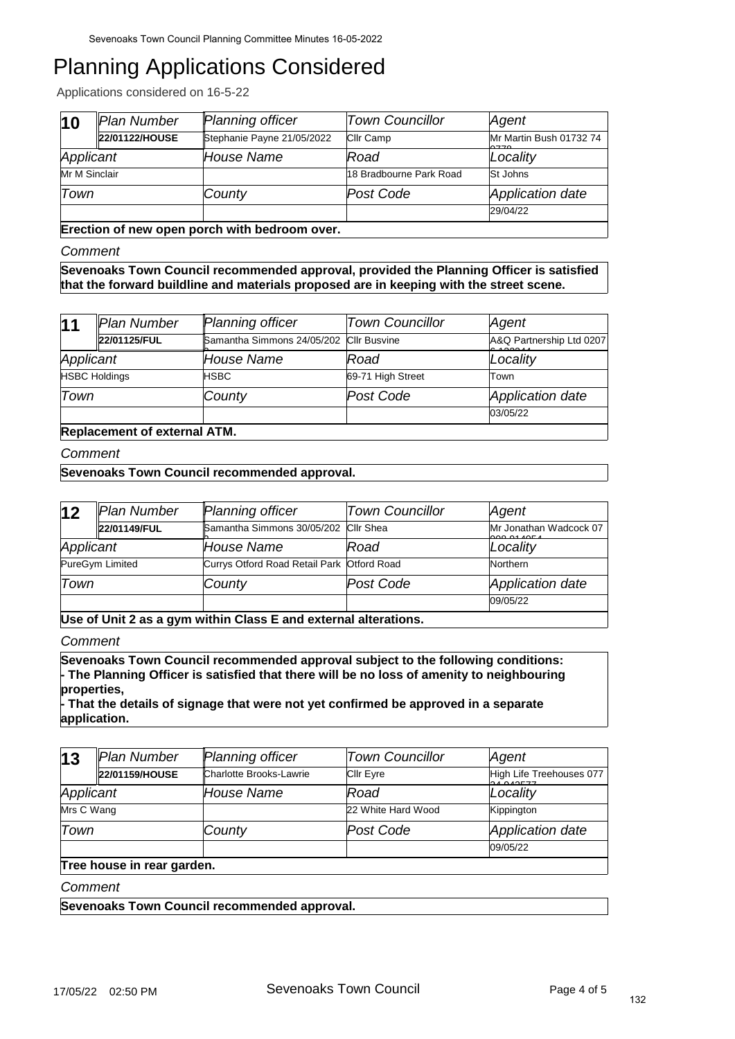Applications considered on 16-5-22

| 10                                            | Plan Number    | <b>Planning officer</b>    | <b>Town Councillor</b>  | Agent                           |  |
|-----------------------------------------------|----------------|----------------------------|-------------------------|---------------------------------|--|
|                                               | 22/01122/HOUSE | Stephanie Payne 21/05/2022 | Cllr Camp               | Mr Martin Bush 01732 74<br>0770 |  |
| Applicant                                     |                | House Name                 | Road                    | Locality                        |  |
| Mr M Sinclair                                 |                |                            | 18 Bradbourne Park Road | St Johns                        |  |
| Town                                          |                | County                     | Post Code               | Application date                |  |
|                                               |                |                            |                         | 29/04/22                        |  |
| Erection of new open porch with bedroom over. |                |                            |                         |                                 |  |

### *Comment*

**Sevenoaks Town Council recommended approval, provided the Planning Officer is satisfied that the forward buildline and materials proposed are in keeping with the street scene.**

| 11                                  | Plan Number  | <b>Planning officer</b>                 | <b>Town Councillor</b> | Agent                               |  |
|-------------------------------------|--------------|-----------------------------------------|------------------------|-------------------------------------|--|
|                                     | 22/01125/FUL | Samantha Simmons 24/05/202 Cllr Busvine |                        | A&Q Partnership Ltd 0207<br>0.40001 |  |
| Applicant                           |              | House Name                              | Road                   | Locality                            |  |
| <b>HSBC Holdings</b>                |              | <b>HSBC</b>                             | 69-71 High Street      | Town                                |  |
| Town                                |              | County                                  | Post Code              | Application date                    |  |
|                                     |              |                                         |                        | 03/05/22                            |  |
| <b>Replacement of external ATM.</b> |              |                                         |                        |                                     |  |

### *Comment*

**Sevenoaks Town Council recommended approval.**

| 12              | Plan Number  | Planning officer                           | <b>Town Councillor</b> | Agent                                                                     |
|-----------------|--------------|--------------------------------------------|------------------------|---------------------------------------------------------------------------|
|                 | 22/01149/FUL | Samantha Simmons 30/05/202 Cllr Shea       |                        | Mr Jonathan Wadcock 07<br>$\begin{array}{c}\n0 & 0 \\ 1 & 1\n\end{array}$ |
| Applicant       |              | <b>House Name</b>                          | Road                   | Locality                                                                  |
| PureGym Limited |              | Currys Otford Road Retail Park Otford Road |                        | Northern                                                                  |
| Town            |              | County                                     | Post Code              | Application date                                                          |
|                 |              |                                            |                        | 09/05/22                                                                  |

**Use of Unit 2 as a gym within Class E and external alterations.**

### *Comment*

**Sevenoaks Town Council recommended approval subject to the following conditions: - The Planning Officer is satisfied that there will be no loss of amenity to neighbouring properties,**

**- That the details of signage that were not yet confirmed be approved in a separate application.**

| $\vert$ 13                 | Plan Number    | <b>Planning officer</b> | <b>Town Councillor</b> | Agent                                 |  |
|----------------------------|----------------|-------------------------|------------------------|---------------------------------------|--|
|                            | 22/01159/HOUSE | Charlotte Brooks-Lawrie | <b>Cllr Eyre</b>       | High Life Treehouses 077<br>0.4010777 |  |
| Applicant                  |                | <b>House Name</b>       | Road                   | Locality                              |  |
| Mrs C Wang                 |                |                         | 22 White Hard Wood     | Kippington                            |  |
| Town                       |                | County                  | Post Code              | Application date                      |  |
|                            |                |                         |                        | 09/05/22                              |  |
| Tree house in rear garden. |                |                         |                        |                                       |  |

#### *Comment*

**Sevenoaks Town Council recommended approval.**